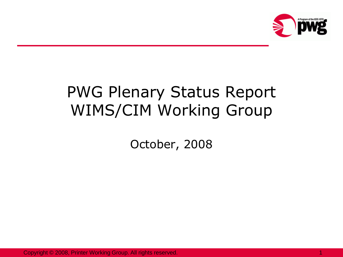

# PWG Plenary Status Report WIMS/CIM Working Group

October, 2008

Copyright © 2008, Printer Working Group. All rights reserved.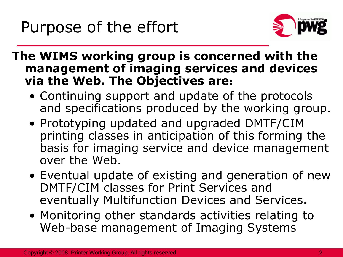

**The WIMS working group is concerned with the management of imaging services and devices via the Web. The Objectives are:** 

- Continuing support and update of the protocols and specifications produced by the working group.
- Prototyping updated and upgraded DMTF/CIM printing classes in anticipation of this forming the basis for imaging service and device management over the Web.
- Eventual update of existing and generation of new DMTF/CIM classes for Print Services and eventually Multifunction Devices and Services.
- Monitoring other standards activities relating to Web-base management of Imaging Systems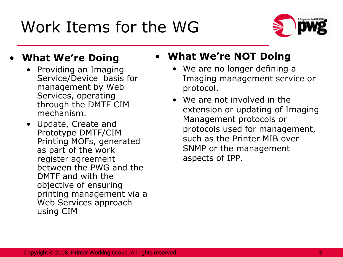Work Items for the WG



#### • **What We're Doing**

- Providing an Imaging Service/Device basis for management by Web Services, operating through the DMTF CIM mechanism.
- Update, Create and Prototype DMTF/CIM Printing MOFs, generated as part of the work register agreement between the PWG and the DMTF and with the objective of ensuring printing management via a Web Services approach using CIM

### • **What We're NOT Doing**

- We are no longer defining a Imaging management service or protocol.
- We are not involved in the extension or updating of Imaging Management protocols or protocols used for management, such as the Printer MIB over SNMP or the management aspects of IPP.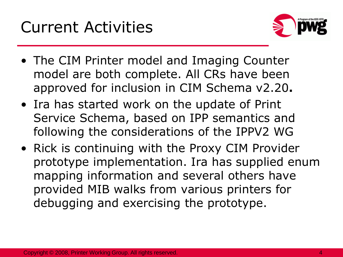

- The CIM Printer model and Imaging Counter model are both complete. All CRs have been approved for inclusion in CIM Schema v2.20**.**
- Ira has started work on the update of Print Service Schema, based on IPP semantics and following the considerations of the IPPV2 WG
- Rick is continuing with the Proxy CIM Provider prototype implementation. Ira has supplied enum mapping information and several others have provided MIB walks from various printers for debugging and exercising the prototype.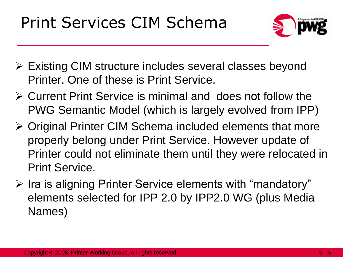Print Services CIM Schema



- Existing CIM structure includes several classes beyond Printer. One of these is Print Service.
- Current Print Service is minimal and does not follow the PWG Semantic Model (which is largely evolved from IPP)
- Original Printer CIM Schema included elements that more properly belong under Print Service. However update of Printer could not eliminate them until they were relocated in Print Service.
- $\triangleright$  Ira is aligning Printer Service elements with "mandatory" elements selected for IPP 2.0 by IPP2.0 WG (plus Media Names)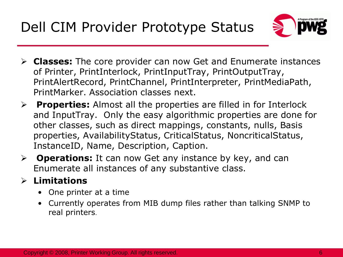Dell CIM Provider Prototype Status



- **Classes:** The core provider can now Get and Enumerate instances of Printer, PrintInterlock, PrintInputTray, PrintOutputTray, PrintAlertRecord, PrintChannel, PrintInterpreter, PrintMediaPath, PrintMarker. Association classes next.
- **Properties:** Almost all the properties are filled in for Interlock and InputTray. Only the easy algorithmic properties are done for other classes, such as direct mappings, constants, nulls, Basis properties, AvailabilityStatus, CriticalStatus, NoncriticalStatus, InstanceID, Name, Description, Caption.
- **Operations:** It can now Get any instance by key, and can Enumerate all instances of any substantive class.

#### **Limitations**

- One printer at a time
- Currently operates from MIB dump files rather than talking SNMP to real printers.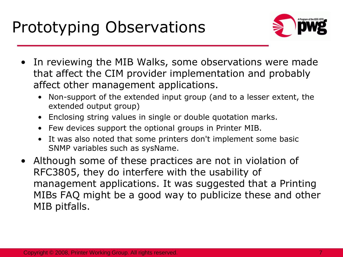

- In reviewing the MIB Walks, some observations were made that affect the CIM provider implementation and probably affect other management applications.
	- Non-support of the extended input group (and to a lesser extent, the extended output group)
	- Enclosing string values in single or double quotation marks.
	- Few devices support the optional groups in Printer MIB.
	- It was also noted that some printers don't implement some basic SNMP variables such as sysName.
- Although some of these practices are not in violation of RFC3805, they do interfere with the usability of management applications. It was suggested that a Printing MIBs FAQ might be a good way to publicize these and other MIB pitfalls.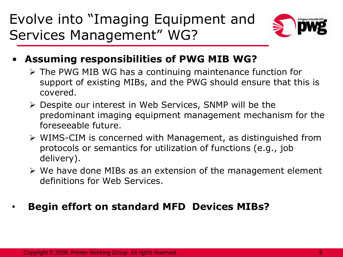Evolve into "Imaging Equipment and Services Management" WG?



- **Assuming responsibilities of PWG MIB WG?**
	- The PWG MIB WG has a continuing maintenance function for support of existing MIBs, and the PWG should ensure that this is covered.
	- Despite our interest in Web Services, SNMP will be the predominant imaging equipment management mechanism for the foreseeable future.
	- WIMS-CIM is concerned with Management, as distinguished from protocols or semantics for utilization of functions (e.g., job delivery).
	- $\triangleright$  We have done MIBs as an extension of the management element definitions for Web Services.

#### • **Begin effort on standard MFD Devices MIBs?**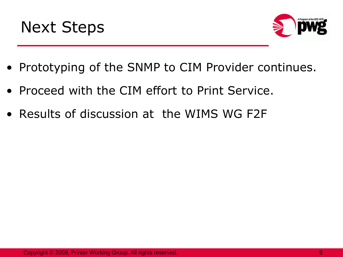



- Prototyping of the SNMP to CIM Provider continues.
- Proceed with the CIM effort to Print Service.
- Results of discussion at the WIMS WG F2F